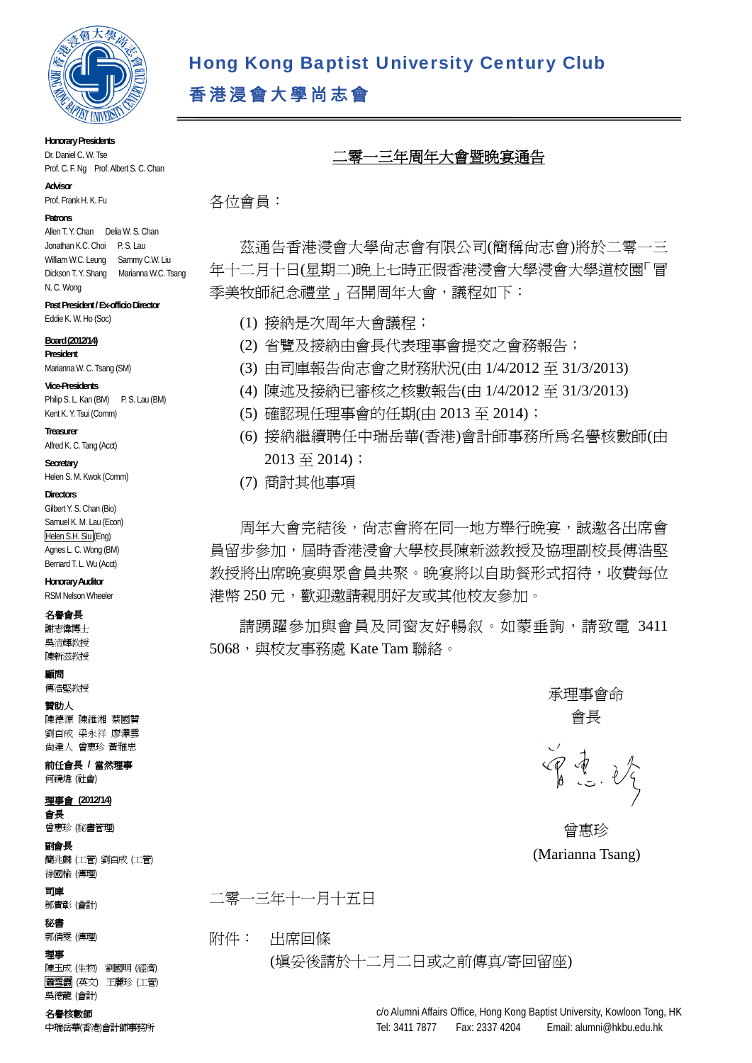

Hong Kong Baptist University Century Club

香港浸會大學尚志會

### **Honorary Presidents**  Dr. Daniel C. W. Tse

Prof. C. F. Ng Prof. Albert S. C. Chan

**Advisor** 

Prof. Frank H. K. Fu.

#### **Patrons**

Allen T. Y. Chan Delia W. S. Chan Jonathan K.C. Choi P. S. Lau William W.C. Leung Sammy C.W. Liu Dickson T. Y. Shang Marianna W.C. Tsang N. C. Wong

## **Past President / Ex-officio Director**

Eddie K. W. Ho (Soc)

#### **Board (2012/14)**

**President**  Marianna W. C. Tsang (SM)

#### **Vice-Presidents**

Philip S. L. Kan (BM) P. S. Lau (BM) Kent K. Y. Tsui (Comm)

#### **Treasurer**

Alfred K. C. Tang (Acct)

**Secretary**  Helen S. M. Kwok (Comm)

#### **Directors**

Gilbert Y. S. Chan (Bio) Samuel K. M. Lau (Econ)

Helen S.H. Siu (Eng) Agnes L. C. Wong (BM) Bernard T. L. Wu (Acct)

**Honorary Auditor**  RSM Nelson Wheeler

### 名譽會長

謝志偉博士 吳清輝教授 陳新滋教授

顧問

### 傅浩堅教授

#### 贊助人

陳德源 陳維湘 蔡國贊 劉百成 梁永祥 廖澤雲 尚達人 曾惠珍 黃雅忠

### 前任會長 **/** 當然理事

何鏡煒 (社會)

### 理事會 **(2012/14)**

會長 曾惠珍 (秘書管理)

## 副會長

簡兆麟 (工管) 劉百成 (工管) 徐國榆 (傳理)

## 司庫

鄧貴彰 (會計)

## 秘書

郭倩雯 (傳理)

#### 理事

陳玉成 (生物) 劉國明 (經濟) 蕭雪霞 (英文) 王麗珍 (工管) 吳德龍 (會計)

#### 名譽核數師

中瑞岳華(香港)會計師事務所

# 二零一三年周年大會暨晩宴通告

各位會員:

茲通告香港浸會大學尚志會有限公司(簡稱尚志會)將於二零一三 年十二月十日(星期二)晚上七時正假香港浸會大學浸會大學道校園「冒 季美牧師紀念禮堂」召開周年大會,議程如下:

- (1) 接納是次周年大會議程;
- (2) 省覽及接納由會長代表理事會提交之會務報告;
- (3) 由司庫報告尚志會之財務狀況(由 1/4/2012 至 31/3/2013)
- (4) 陳述及接納已審核之核數報告(由 1/4/2012 至 31/3/2013)
- (5) 確認現任理事會的任期(由 2013 至 2014);
- (6) 接納繼續聘任中瑞岳華(香港)會計師事務所為名譽核數師(由  $2013 \ncong 2014$ ;
- (7) 商討其他事項

周年大會完結後,尚志會將在同一地方舉行晚宴,誠邀各出席會 員留步參加,屆時香港浸會大學校長陳新滋教授及協理副校長傅浩堅 教授將出席晩宴與眾會員共聚。晩宴將以自助餐形式招待,收費每位 港幣 250 元,歡迎邀請親朋好友或其他校友參加。

請踴躍參加與會員及同窗友好暢叙。如蒙垂詢,請致電 3411 5068, 與校友事務處 Kate Tam 聯絡。

> 承理事會命 會長

曾重。

曾惠珍 (Marianna Tsang)

二零一三年十一月十五日

## 附件: 出席回條

(填妥後請於十二月二日或之前傳真/寄回留座)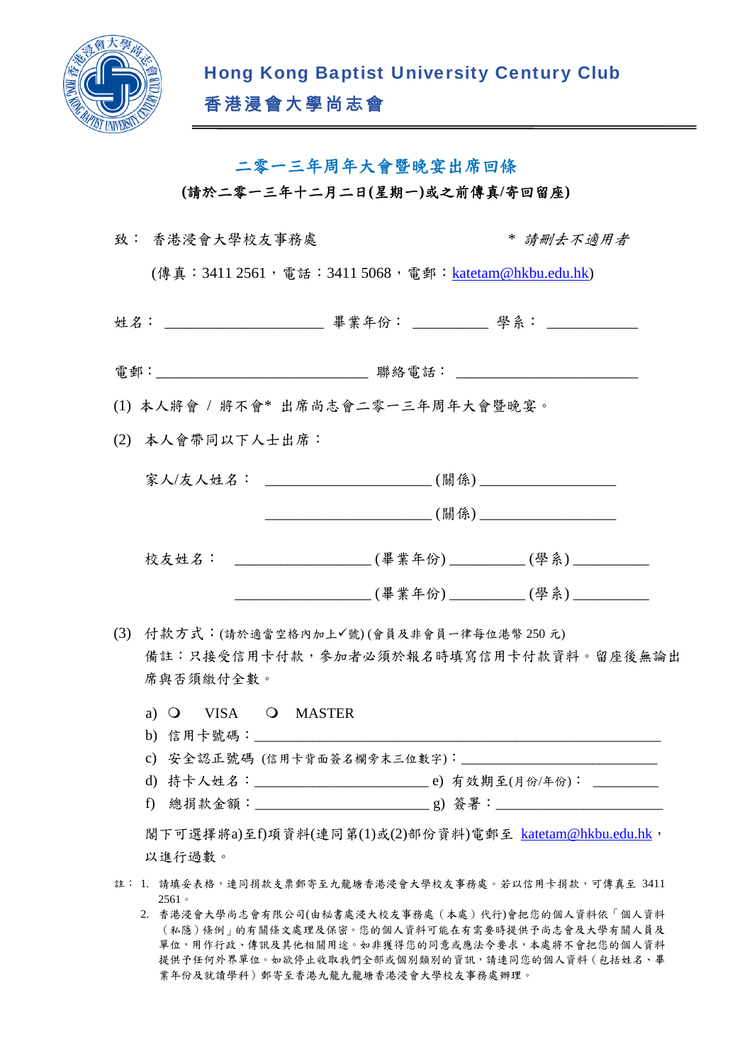

## 二零一三年周年大會暨晚宴出席回條

**(**請於二零一三年十二月二日**(**星期一**)**或之前傳真**/**寄回留座**)**

|     | 致: 香港浸會大學校友事務處                                       |  | * 請删去不適用者                                                             |
|-----|------------------------------------------------------|--|-----------------------------------------------------------------------|
|     | (傳真:3411 2561, 電話:3411 5068, 電郵:katetam@hkbu.edu.hk) |  |                                                                       |
|     |                                                      |  | 姓名: ________________________ 畢業年份: ___________ 學系: ____________       |
|     |                                                      |  | 電郵:________________________________ 聯絡電話: ___________________________ |
|     | (1) 本人將會 / 將不會* 出席尚志會二零一三年周年大會暨晚宴。                   |  |                                                                       |
|     | (2) 本人會帶同以下人士出席:                                     |  |                                                                       |
|     |                                                      |  |                                                                       |
|     |                                                      |  |                                                                       |
|     |                                                      |  | 校友姓名: ____________________(畢業年份)_________(學系)__________               |
|     |                                                      |  | _______________________(畢業年份)___________(學系)___________               |
| (3) | 付款方式:(請於適當空格內加上√號)(會員及非會員一律每位港幣250元)<br>席與否須繳付全數。    |  | 備註:只接受信用卡付款,參加者必須於報名時填寫信用卡付款資料。留座後無論出                                 |
|     | a) O VISA O MASTER                                   |  |                                                                       |
|     |                                                      |  |                                                                       |
|     |                                                      |  |                                                                       |

閣下可選擇將a)至f)項資料(連同第(1)或(2)部份資料)電郵至 katetam@hkbu.edu.hk, 以進行過數。

- 註: 1. 請填妥表格,連同捐款支票郵寄至九龍塘香港浸會大學校友事務處。若以信用卡捐款,可傳真至 3411 2561。
	- 2. 香港浸會大學尚志會有限公司(由秘書處浸大校友事務處(本處)代行)會把您的個人資料依「個人資料 (私隱)條例」的有關條文處理及保密。您的個人資料可能在有需要時提供予尚志會及大學有關人員及 單位,用作行政、傳訊及其他相關用途。如非獲得您的同意或應法令要求,本處將不會把您的個人資料 提供予任何外界單位。如欲停止收取我們全部或個別類別的資訊,請連同您的個人資料(包括姓名、畢 業年份及就讀學科)郵寄至香港九龍九龍塘香港浸會大學校友事務處辦理。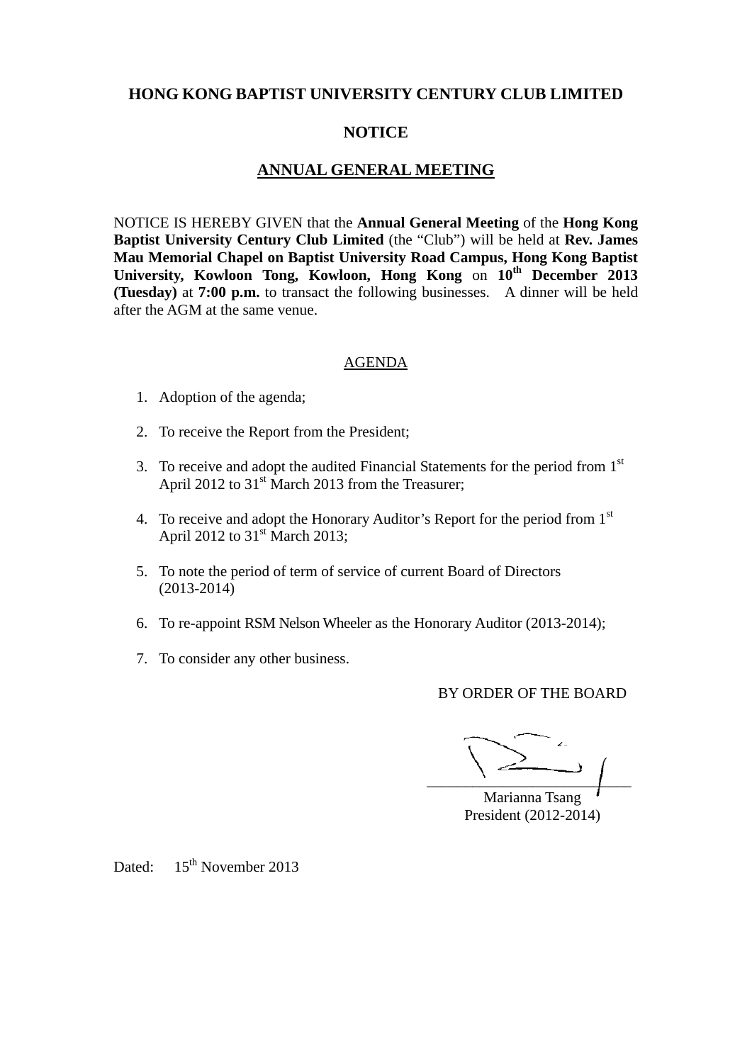## **HONG KONG BAPTIST UNIVERSITY CENTURY CLUB LIMITED**

## **NOTICE**

## **ANNUAL GENERAL MEETING**

NOTICE IS HEREBY GIVEN that the **Annual General Meeting** of the **Hong Kong Baptist University Century Club Limited** (the "Club") will be held at **Rev. James Mau Memorial Chapel on Baptist University Road Campus, Hong Kong Baptist University, Kowloon Tong, Kowloon, Hong Kong** on **10th December 2013 (Tuesday)** at **7:00 p.m.** to transact the following businesses. A dinner will be held after the AGM at the same venue.

## AGENDA

- 1. Adoption of the agenda;
- 2. To receive the Report from the President;
- 3. To receive and adopt the audited Financial Statements for the period from 1<sup>st</sup> April 2012 to 31<sup>st</sup> March 2013 from the Treasurer;
- 4. To receive and adopt the Honorary Auditor's Report for the period from 1<sup>st</sup> April 2012 to  $31<sup>st</sup>$  March 2013;
- 5. To note the period of term of service of current Board of Directors (2013-2014)
- 6. To re-appoint RSM Nelson Wheeler as the Honorary Auditor (2013-2014);
- 7. To consider any other business.

BY ORDER OF THE BOARD

 $\overline{\phantom{a}}$ 

Marianna Tsang President (2012-2014)

Dated: 15<sup>th</sup> November 2013